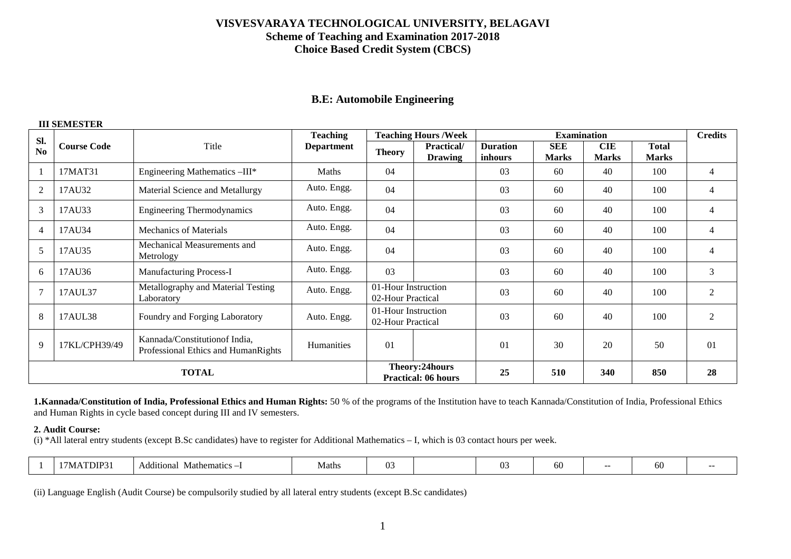# **B.E: Automobile Engineering**

#### **III SEMESTER**

| Sl.            |                                                                                                      |                                                  | <b>Teaching</b>                          |                                              | <b>Teaching Hours /Week</b>  |                            | <b>Examination</b>         |                            |                              | <b>Credits</b> |
|----------------|------------------------------------------------------------------------------------------------------|--------------------------------------------------|------------------------------------------|----------------------------------------------|------------------------------|----------------------------|----------------------------|----------------------------|------------------------------|----------------|
| N <sub>0</sub> | <b>Course Code</b>                                                                                   | Title                                            | <b>Department</b>                        | <b>Theory</b>                                | Practical/<br><b>Drawing</b> | <b>Duration</b><br>inhours | <b>SEE</b><br><b>Marks</b> | <b>CIE</b><br><b>Marks</b> | <b>Total</b><br><b>Marks</b> |                |
|                | 17MAT31                                                                                              | Engineering Mathematics -III*                    | Maths                                    | 04                                           |                              | 03                         | 60                         | 40                         | 100                          | 4              |
| $\overline{2}$ | 17AU32                                                                                               | Material Science and Metallurgy                  | Auto. Engg.                              | 04                                           |                              |                            | 60                         | 40                         | 100                          | 4              |
| 3              | 17AU33                                                                                               | <b>Engineering Thermodynamics</b>                | Auto. Engg.                              | 04                                           |                              | 03                         | 60                         | 40                         | 100                          | $\overline{4}$ |
| 4              | 17AU34                                                                                               | Mechanics of Materials                           | Auto. Engg.                              | 04                                           |                              |                            | 60                         | 40                         | 100                          | 4              |
| 5              | 17AU35                                                                                               | Mechanical Measurements and<br>Metrology         | Auto. Engg.                              | 04                                           |                              |                            | 60                         | 40                         | 100                          | 4              |
| 6              | Auto. Engg.<br>17AU36<br>Manufacturing Process-I                                                     |                                                  |                                          | 03                                           |                              | 03                         | 60                         | 40                         | 100                          | 3              |
|                | 17AUL37                                                                                              | Metallography and Material Testing<br>Laboratory | Auto. Engg.                              | 01-Hour Instruction<br>02-Hour Practical     |                              | 03                         | 60                         | 40                         | 100                          | 2              |
| 8              | 17AUL38                                                                                              | Foundry and Forging Laboratory                   | 01-Hour Instruction<br>02-Hour Practical |                                              | 03                           | 60                         | 40                         | 100                        | $\overline{2}$               |                |
| 9              | Kannada/Constitution of India,<br>17KL/CPH39/49<br>Humanities<br>Professional Ethics and HumanRights |                                                  | 01                                       |                                              | 01                           | 30                         | 20                         | 50                         | 01                           |                |
|                |                                                                                                      | <b>TOTAL</b>                                     |                                          | Theory:24hours<br><b>Practical: 06 hours</b> | 25                           | 510                        | 340                        | 850                        | 28                           |                |

**1.Kannada/Constitution of India, Professional Ethics and Human Rights:** 50 % of the programs of the Institution have to teach Kannada/Constitution of India, Professional Ethics and Human Rights in cycle based concept during III and IV semesters.

#### **2. Audit Course:**

(i) \*All lateral entry students (except B.Sc candidates) have to register for Additional Mathematics – I, which is 03 contact hours per week.

|  | TDIP?<br>'NL | Additional<br>Mathematics | Vlaths |  |  |  | 0U |  | - |  |
|--|--------------|---------------------------|--------|--|--|--|----|--|---|--|
|--|--------------|---------------------------|--------|--|--|--|----|--|---|--|

(ii) Language English (Audit Course) be compulsorily studied by all lateral entry students (except B.Sc candidates)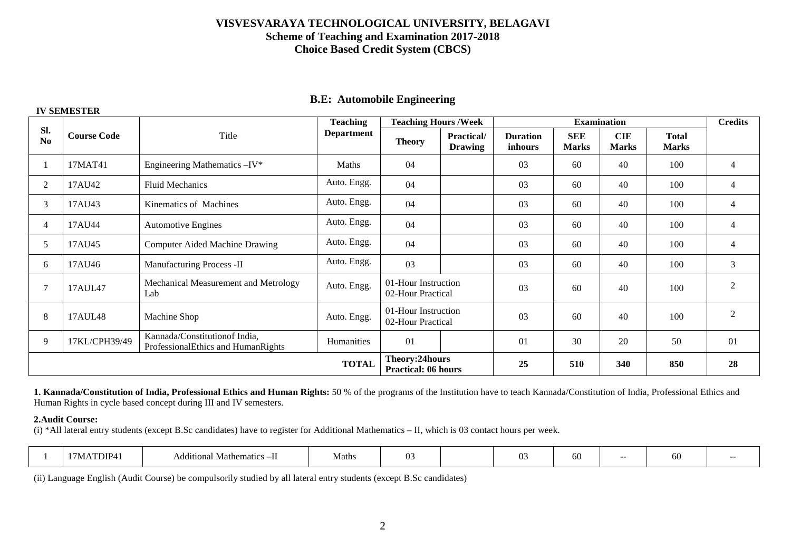|  |  | <b>B.E: Automobile Engineering</b> |
|--|--|------------------------------------|
|--|--|------------------------------------|

|                       |                                                                                                    |                                       | <b>Teaching</b>                              | <b>Teaching Hours /Week</b>              |                                     |                            |                            | <b>Examination</b>         |                              | <b>Credits</b> |
|-----------------------|----------------------------------------------------------------------------------------------------|---------------------------------------|----------------------------------------------|------------------------------------------|-------------------------------------|----------------------------|----------------------------|----------------------------|------------------------------|----------------|
| SI.<br>N <sub>0</sub> | <b>Course Code</b>                                                                                 | Title                                 | <b>Department</b>                            | <b>Theory</b>                            | <b>Practical/</b><br><b>Drawing</b> | <b>Duration</b><br>inhours | <b>SEE</b><br><b>Marks</b> | <b>CIE</b><br><b>Marks</b> | <b>Total</b><br><b>Marks</b> |                |
|                       | 17MAT41                                                                                            | Engineering Mathematics -IV*          | <b>Maths</b>                                 | 04                                       |                                     | 03                         | 60                         | 40                         | 100                          | $\overline{4}$ |
| 2                     | 17AU42                                                                                             | <b>Fluid Mechanics</b>                | Auto. Engg.                                  | 04                                       |                                     | 03                         | 60                         | 40                         | 100                          | $\overline{4}$ |
| 3                     | 17AU43                                                                                             | Kinematics of Machines                | Auto. Engg.                                  | 04                                       |                                     | 03                         | 60                         | 40                         | 100                          | $\overline{4}$ |
| 4                     | 17AU44                                                                                             | <b>Automotive Engines</b>             | Auto. Engg.                                  | 04                                       |                                     |                            | 60                         | 40                         | 100                          | $\overline{4}$ |
| 5                     | 17AU45                                                                                             | <b>Computer Aided Machine Drawing</b> | Auto. Engg.                                  | 04                                       |                                     | 03                         | 60                         | 40                         | 100                          | 4              |
| 6                     | Auto. Engg.<br>17AU46<br>Manufacturing Process -II                                                 |                                       | 03                                           |                                          | 03                                  | 60                         | 40                         | 100                        | 3                            |                |
|                       | Mechanical Measurement and Metrology<br>Auto. Engg.<br>17AUL47<br>Lab                              |                                       |                                              | 01-Hour Instruction<br>02-Hour Practical |                                     | 03                         | 60                         | 40                         | 100                          | 2              |
| 8                     | 17AUL48<br>Machine Shop<br>Auto. Engg.                                                             |                                       | 01-Hour Instruction<br>02-Hour Practical     |                                          | 03                                  | 60                         | 40                         | 100                        | $\overline{2}$               |                |
| 9                     | Kannada/Constitutionof India,<br>17KL/CPH39/49<br>Humanities<br>ProfessionalEthics and HumanRights |                                       | 01                                           |                                          | 01                                  | 30                         | 20                         | 50                         | 01                           |                |
|                       |                                                                                                    |                                       | Theory:24hours<br><b>Practical: 06 hours</b> |                                          | 25                                  | 510                        | 340                        | 850                        | 28                           |                |

**1. Kannada/Constitution of India, Professional Ethics and Human Rights:** 50 % of the programs of the Institution have to teach Kannada/Constitution of India, Professional Ethics and Human Rights in cycle based concept during III and IV semesters.

#### **2.Audit Course:**

 **IV SEMESTER** 

(i) \*All lateral entry students (except B.Sc candidates) have to register for Additional Mathematics – II, which is 03 contact hours per week.

|  |  | )IP4<br>vı | Add1t10na<br><b>Mathematics</b><br>$\sim -1$ | Maths |  |  | 03 | ,,,, | --- | vv<br>$\sim$ |  |
|--|--|------------|----------------------------------------------|-------|--|--|----|------|-----|--------------|--|
|--|--|------------|----------------------------------------------|-------|--|--|----|------|-----|--------------|--|

(ii) Language English (Audit Course) be compulsorily studied by all lateral entry students (except B.Sc candidates)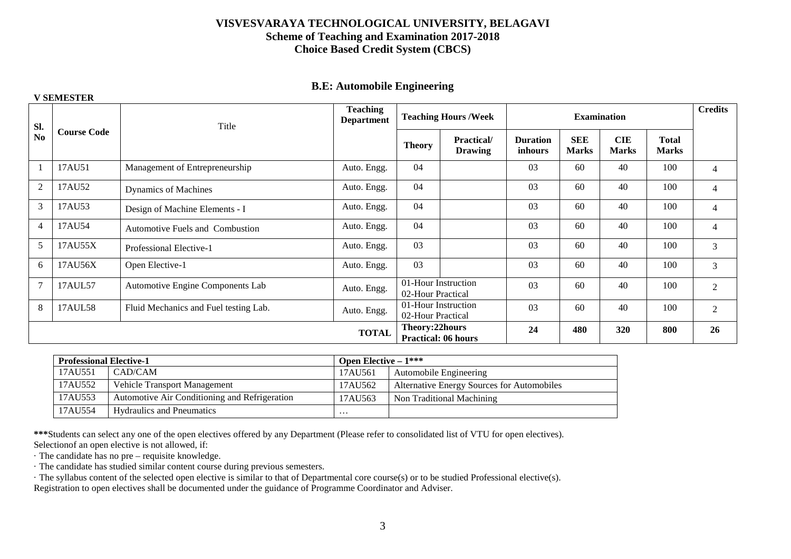#### **B.E: Automobile Engineering**

|                |                    |                                       | <b>V SEMESTER</b>                    |                                          |                                      |                                   |                            |                            |                              |                |  |  |  |  |
|----------------|--------------------|---------------------------------------|--------------------------------------|------------------------------------------|--------------------------------------|-----------------------------------|----------------------------|----------------------------|------------------------------|----------------|--|--|--|--|
| SI.            |                    | Title                                 | <b>Teaching</b><br><b>Department</b> |                                          | <b>Teaching Hours/Week</b>           |                                   | <b>Examination</b>         |                            |                              | <b>Credits</b> |  |  |  |  |
| No             | <b>Course Code</b> |                                       |                                      | <b>Theory</b>                            | <b>Practical</b> /<br><b>Drawing</b> | <b>Duration</b><br><i>inhours</i> | <b>SEE</b><br><b>Marks</b> | <b>CIE</b><br><b>Marks</b> | <b>Total</b><br><b>Marks</b> |                |  |  |  |  |
|                | 17AU51             | Management of Entrepreneurship        | Auto. Engg.                          | 04                                       |                                      | 03                                | 60                         | 40                         | 100                          | $\overline{4}$ |  |  |  |  |
| 2              | 17AU52             | <b>Dynamics of Machines</b>           | Auto. Engg.                          | 04                                       |                                      | 03                                | 60                         | 40                         | 100                          | $\overline{4}$ |  |  |  |  |
| 3              | 17AU53             | Design of Machine Elements - I        | Auto. Engg.                          | 04                                       |                                      | 03                                | 60                         | 40                         | 100                          | $\overline{4}$ |  |  |  |  |
| $\overline{4}$ | 17AU54             | Automotive Fuels and Combustion       | Auto. Engg.                          | 04                                       |                                      | 03                                | 60                         | 40                         | 100                          | $\overline{4}$ |  |  |  |  |
| 5              | 17AU55X            | Professional Elective-1               | Auto. Engg.                          | 03                                       |                                      | 03                                | 60                         | 40                         | 100                          | 3              |  |  |  |  |
| 6              | 17AU56X            | Open Elective-1                       | Auto. Engg.                          | 03                                       |                                      | 03                                | 60                         | 40                         | 100                          | 3              |  |  |  |  |
| 7              | 17AUL57            | Automotive Engine Components Lab      | Auto. Engg.                          | 02-Hour Practical                        | 01-Hour Instruction                  | 03                                | 60                         | 40                         | 100                          | $\overline{2}$ |  |  |  |  |
| 8              | 17AUL58            | Fluid Mechanics and Fuel testing Lab. | Auto. Engg.                          | 01-Hour Instruction<br>02-Hour Practical |                                      | 03                                | 60                         | 40                         | 100                          | 2              |  |  |  |  |
|                |                    |                                       | Theory:22hours                       | <b>Practical: 06 hours</b>               | 24                                   | 480                               | 320                        | 800                        | 26                           |                |  |  |  |  |

| <b>Professional Elective-1</b> |                                               | <b>Open Elective – <math>1***</math></b> |                                            |  |  |  |
|--------------------------------|-----------------------------------------------|------------------------------------------|--------------------------------------------|--|--|--|
| 17AU551                        | CAD/CAM                                       | 17AU561                                  | Automobile Engineering                     |  |  |  |
| 17AU552                        | Vehicle Transport Management                  | 17AU562                                  | Alternative Energy Sources for Automobiles |  |  |  |
| 17AU553                        | Automotive Air Conditioning and Refrigeration | 17AU563                                  | Non Traditional Machining                  |  |  |  |
| 17AU554                        | <b>Hydraulics and Pneumatics</b>              | .                                        |                                            |  |  |  |

**\*\*\***Students can select any one of the open electives offered by any Department (Please refer to consolidated list of VTU for open electives). Selectionof an open elective is not allowed, if:

· The candidate has no pre – requisite knowledge.

· The candidate has studied similar content course during previous semesters.

· The syllabus content of the selected open elective is similar to that of Departmental core course(s) or to be studied Professional elective(s).

Registration to open electives shall be documented under the guidance of Programme Coordinator and Adviser.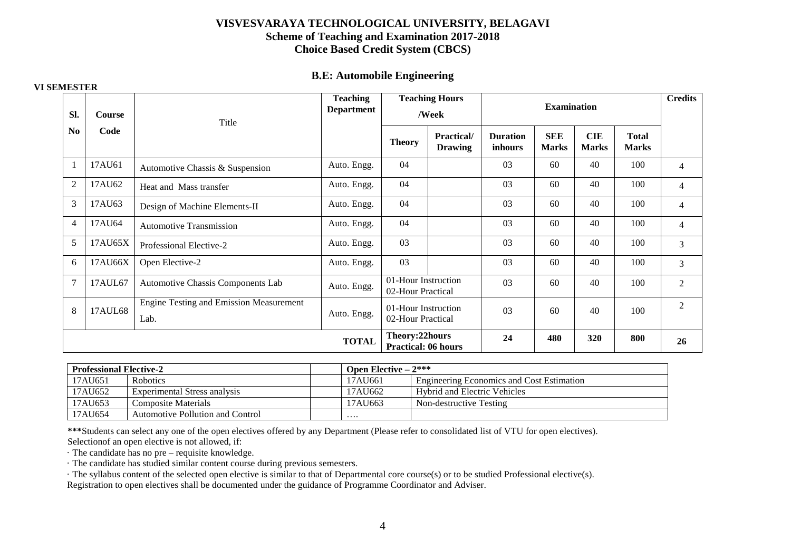#### **B.E: Automobile Engineering**

| SI.            | Course  | Title                                                  | <b>Teaching</b><br><b>Teaching Hours</b><br><b>Department</b><br>/Week |                                              |                              |                            | <b>Examination</b>         |                            |                              | <b>Credits</b> |
|----------------|---------|--------------------------------------------------------|------------------------------------------------------------------------|----------------------------------------------|------------------------------|----------------------------|----------------------------|----------------------------|------------------------------|----------------|
| N <sub>0</sub> | Code    |                                                        |                                                                        | <b>Theory</b>                                | Practical/<br><b>Drawing</b> | <b>Duration</b><br>inhours | <b>SEE</b><br><b>Marks</b> | <b>CIE</b><br><b>Marks</b> | <b>Total</b><br><b>Marks</b> |                |
|                | 17AU61  | Automotive Chassis & Suspension                        | Auto. Engg.                                                            | 04                                           |                              | 03                         | 60                         | 40                         | 100                          | $\overline{4}$ |
| $\overline{2}$ | 17AU62  | Heat and Mass transfer                                 | Auto. Engg.                                                            | 04                                           |                              | 03                         | 60                         | 40                         | 100                          | $\overline{4}$ |
| 3              | 17AU63  | Design of Machine Elements-II                          | Auto. Engg.                                                            | 04                                           |                              | 03                         | 60                         | 40                         | 100                          | $\overline{4}$ |
| $\overline{4}$ | 17AU64  | <b>Automotive Transmission</b>                         | Auto. Engg.                                                            | 04                                           |                              | 03                         | 60                         | 40                         | 100                          | $\overline{4}$ |
| 5              | 17AU65X | Professional Elective-2                                | Auto. Engg.                                                            | 03                                           |                              | 03                         | 60                         | 40                         | 100                          | 3              |
| 6              | 17AU66X | Open Elective-2                                        | Auto. Engg.                                                            | 03                                           |                              | 03                         | 60                         | 40                         | 100                          | 3              |
| 7              | 17AUL67 | Automotive Chassis Components Lab                      | Auto. Engg.                                                            | 01-Hour Instruction<br>02-Hour Practical     |                              | 03                         | 60                         | 40                         | 100                          | $\mathfrak{2}$ |
| 8              | 17AUL68 | <b>Engine Testing and Emission Measurement</b><br>Lab. | Auto. Engg.                                                            | 01-Hour Instruction<br>02-Hour Practical     |                              | 03                         | 60                         | 40                         | 100                          | $\mathfrak{2}$ |
|                |         |                                                        | <b>TOTAL</b>                                                           | Theory:22hours<br><b>Practical: 06 hours</b> |                              | 24                         | 480                        | 320                        | 800                          | 26             |

| <b>Professional Elective-2</b> |                                  | <b>Open Elective – 2***</b> |                                           |
|--------------------------------|----------------------------------|-----------------------------|-------------------------------------------|
| 17AU651                        | <b>Robotics</b>                  | 17AU661                     | Engineering Economics and Cost Estimation |
| 17AU652                        | Experimental Stress analysis     | 17AU662                     | <b>Hybrid and Electric Vehicles</b>       |
| 17AU653                        | Composite Materials              | 17AU663                     | Non-destructive Testing                   |
| 17AU654                        | Automotive Pollution and Control | $\cdots$                    |                                           |

**\*\*\***Students can select any one of the open electives offered by any Department (Please refer to consolidated list of VTU for open electives). Selectionof an open elective is not allowed, if:

· The candidate has no pre – requisite knowledge.

· The candidate has studied similar content course during previous semesters.

· The syllabus content of the selected open elective is similar to that of Departmental core course(s) or to be studied Professional elective(s).

Registration to open electives shall be documented under the guidance of Programme Coordinator and Adviser.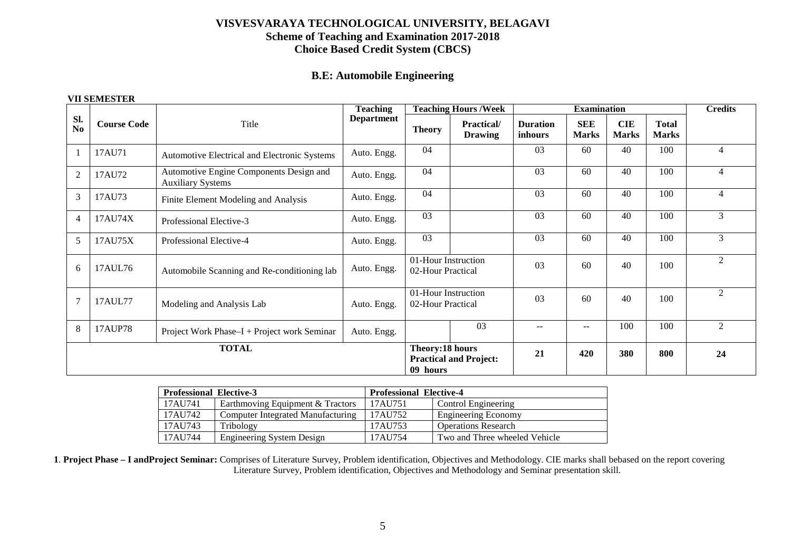# **B.E: Automobile Engineering**

#### **VII SEMESTER**

|                                                                            |                                                                       |                                                                     | <b>Teaching</b>                          |                               | <b>Teaching Hours /Week</b>          |                            | <b>Examination</b>         |                            |                              | <b>Credits</b> |
|----------------------------------------------------------------------------|-----------------------------------------------------------------------|---------------------------------------------------------------------|------------------------------------------|-------------------------------|--------------------------------------|----------------------------|----------------------------|----------------------------|------------------------------|----------------|
| Sl.<br>No                                                                  | <b>Course Code</b>                                                    | Title                                                               | <b>Department</b>                        | <b>Theory</b>                 | <b>Practical</b> /<br><b>Drawing</b> | <b>Duration</b><br>inhours | <b>SEE</b><br><b>Marks</b> | <b>CIE</b><br><b>Marks</b> | <b>Total</b><br><b>Marks</b> |                |
|                                                                            | 17AU71                                                                | Automotive Electrical and Electronic Systems                        | Auto. Engg.                              | 04                            |                                      | 03                         | 60                         | 40                         | 100                          | 4              |
| 2                                                                          | 17AU72                                                                | Automotive Engine Components Design and<br><b>Auxiliary Systems</b> | Auto. Engg.                              | 04                            |                                      |                            | 60                         | 40                         | 100                          | $\overline{4}$ |
| $\mathfrak{Z}$                                                             | 17AU73                                                                | Finite Element Modeling and Analysis                                | Auto. Engg.                              | 04                            |                                      |                            | 60                         | 40                         | 100                          | 4              |
| $\overline{4}$                                                             | 17AU74X                                                               | Professional Elective-3                                             | Auto. Engg.                              | 03                            |                                      | 03                         | 60                         | 40                         | 100                          | 3              |
| 5                                                                          | 17AU75X                                                               | Professional Elective-4                                             | Auto. Engg.                              | 03                            |                                      | 03                         | 60                         | 40                         | 100                          | 3              |
| 6<br>Auto. Engg.<br>17AUL76<br>Automobile Scanning and Re-conditioning lab |                                                                       |                                                                     | 01-Hour Instruction<br>02-Hour Practical |                               | 03                                   | 60                         | 40                         | 100                        | 2                            |                |
| $\overline{7}$<br>17AUL77<br>Modeling and Analysis Lab<br>Auto. Engg.      |                                                                       | 01-Hour Instruction<br>02-Hour Practical                            |                                          | 03                            | 60                                   | 40                         | 100                        | $\overline{2}$             |                              |                |
| 8                                                                          | 17AUP78<br>Project Work Phase–I + Project work Seminar<br>Auto. Engg. |                                                                     |                                          |                               | 03                                   | $-$                        | $\qquad \qquad -$          | 100                        | 100                          | $\mathfrak{D}$ |
|                                                                            |                                                                       | <b>TOTAL</b>                                                        | Theory:18 hours<br>09 hours              | <b>Practical and Project:</b> | 21                                   | 420                        | 380                        | 800                        | 24                           |                |

| <b>Professional Elective-3</b> |                                   | <b>Professional Elective-4</b> |                               |
|--------------------------------|-----------------------------------|--------------------------------|-------------------------------|
| 17AU741                        | Earthmoving Equipment & Tractors  | 17AU751                        | Control Engineering           |
| 17AU742                        | Computer Integrated Manufacturing | 17AU752                        | <b>Engineering Economy</b>    |
| 17AU743                        | Tribology                         | 17AU753                        | <b>Operations Research</b>    |
| 17AU744                        | <b>Engineering System Design</b>  | 17AU754                        | Two and Three wheeled Vehicle |

**1**. **Project Phase – I andProject Seminar:** Comprises of Literature Survey, Problem identification, Objectives and Methodology. CIE marks shall bebased on the report covering Literature Survey, Problem identification, Objectives and Methodology and Seminar presentation skill.